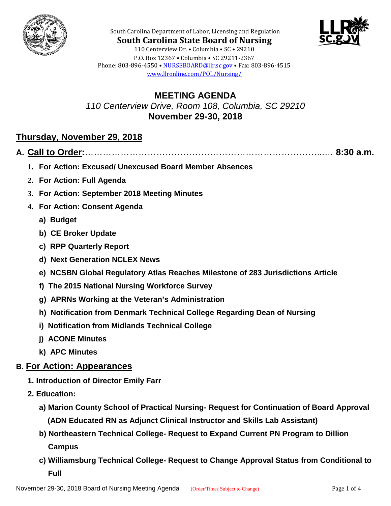



**South Carolina State Board of Nursing** 110 Centerview Dr. • Columbia • SC • 29210 P.O. Box 12367 • Columbia • SC 29211-2367 Phone: 803-896-4550 • [NURSEBOARD@llr.sc.gov](mailto:contactllr@llr.sc.gov) • Fax: 803-896-4515 [www.llronline.com/POL/Nursing/](http://www.llronline.com/POL/Nursing/)

South Carolina Department of Labor, Licensing and Regulation

**MEETING AGENDA** *110 Centerview Drive, Room 108, Columbia, SC 29210* **November 29-30, 2018**

# **Thursday, November 29, 2018**

**A. Call to Order:**……………………………………………………………………...… **8:30 a.m.**

- **1. For Action: Excused/ Unexcused Board Member Absences**
- **2. For Action: Full Agenda**
- **3. For Action: September 2018 Meeting Minutes**
- **4. For Action: Consent Agenda**
	- **a) Budget**
	- **b) CE Broker Update**
	- **c) RPP Quarterly Report**
	- **d) Next Generation NCLEX News**
	- **e) NCSBN Global Regulatory Atlas Reaches Milestone of 283 Jurisdictions Article**
	- **f) The 2015 National Nursing Workforce Survey**
	- **g) APRNs Working at the Veteran's Administration**
	- **h) Notification from Denmark Technical College Regarding Dean of Nursing**
	- **i) Notification from Midlands Technical College**
	- **j) ACONE Minutes**
	- **k) APC Minutes**

## **B. For Action: Appearances**

- **1. Introduction of Director Emily Farr**
- **2. Education:** 
	- **a) Marion County School of Practical Nursing- Request for Continuation of Board Approval (ADN Educated RN as Adjunct Clinical Instructor and Skills Lab Assistant)**
	- **b) Northeastern Technical College- Request to Expand Current PN Program to Dillion Campus**
	- **c) Williamsburg Technical College- Request to Change Approval Status from Conditional to Full**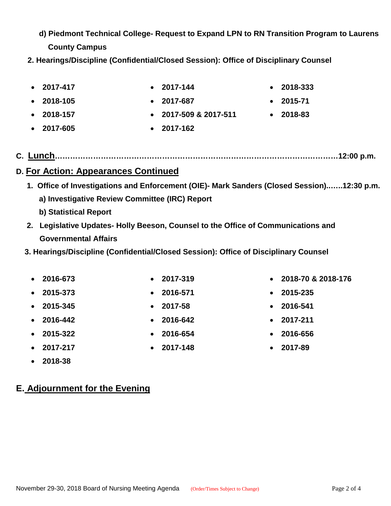- **d) Piedmont Technical College- Request to Expand LPN to RN Transition Program to Laurens County Campus**
- **2. Hearings/Discipline (Confidential/Closed Session): Office of Disciplinary Counsel**
- **2017-417 2017-144 2018-333** • **2018-105** • **2017-687** • **2015-71**
	-
- 
- **C. Lunch…………………………………………………………………………………………………12:00 p.m.**

## **D. For Action: Appearances Continued**

- **1. Office of Investigations and Enforcement (OIE)- Mark Sanders (Closed Session)..…..12:30 p.m. a) Investigative Review Committee (IRC) Report b) Statistical Report**
- **2. Legislative Updates- Holly Beeson, Counsel to the Office of Communications and Governmental Affairs**
- **3. Hearings/Discipline (Confidential/Closed Session): Office of Disciplinary Counsel**
	- **2016-673 2017-319 2018-70 & 2018-176**
	- **2015-373 2016-571 2015-235**
	- **2015-345 2017-58 2016-541**
	- **2016-442 2016-642 2017-211**
	- **2015-322 2016-654 2016-656**
	- **2017-217 2017-148 2017-89**
	- **2018-38**

# **E. Adjournment for the Evening**

- 
- 
- 
- 
- 
- 

- 
- **2018-157 2017-509 & 2017-511 2018-83**
- 
- 
- 
- **2017-605 2017-162**
	-
- 
- 
-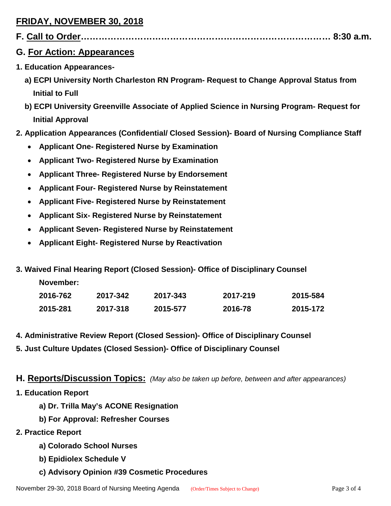# **FRIDAY, NOVEMBER 30, 2018**

|--|--|--|

### **G. For Action: Appearances**

- **1. Education Appearances**
	- **a) ECPI University North Charleston RN Program- Request to Change Approval Status from Initial to Full**
	- **b) ECPI University Greenville Associate of Applied Science in Nursing Program- Request for Initial Approval**
- **2. Application Appearances (Confidential/ Closed Session)- Board of Nursing Compliance Staff**
	- **Applicant One- Registered Nurse by Examination**
	- **Applicant Two- Registered Nurse by Examination**
	- **Applicant Three- Registered Nurse by Endorsement**
	- **Applicant Four- Registered Nurse by Reinstatement**
	- **Applicant Five- Registered Nurse by Reinstatement**
	- **Applicant Six- Registered Nurse by Reinstatement**
	- **Applicant Seven- Registered Nurse by Reinstatement**
	- **Applicant Eight- Registered Nurse by Reactivation**
- **3. Waived Final Hearing Report (Closed Session)- Office of Disciplinary Counsel**

|  |  | <b>November:</b> |  |
|--|--|------------------|--|
|--|--|------------------|--|

| 2016-762 | 2017-342 | 2017-343 | 2017-219 | 2015-584 |
|----------|----------|----------|----------|----------|
| 2015-281 | 2017-318 | 2015-577 | 2016-78  | 2015-172 |

- **4. Administrative Review Report (Closed Session)- Office of Disciplinary Counsel**
- **5. Just Culture Updates (Closed Session)- Office of Disciplinary Counsel**

**H. Reports/Discussion Topics:** *(May also be taken up before, between and after appearances)*

- **1. Education Report**
	- **a) Dr. Trilla May's ACONE Resignation**
	- **b) For Approval: Refresher Courses**
- **2. Practice Report**
	- **a) Colorado School Nurses**
	- **b) Epidiolex Schedule V**
	- **c) Advisory Opinion #39 Cosmetic Procedures**